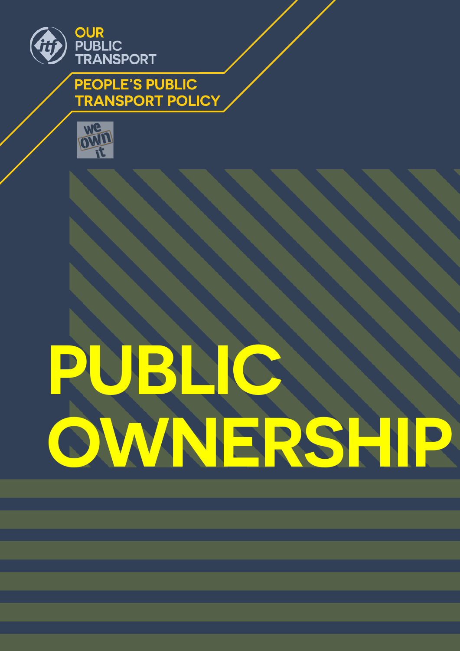

**PEOPLE'S PUBLIC TRANSPORT POLICY** 



# **PUBLIC OWNERSHIP**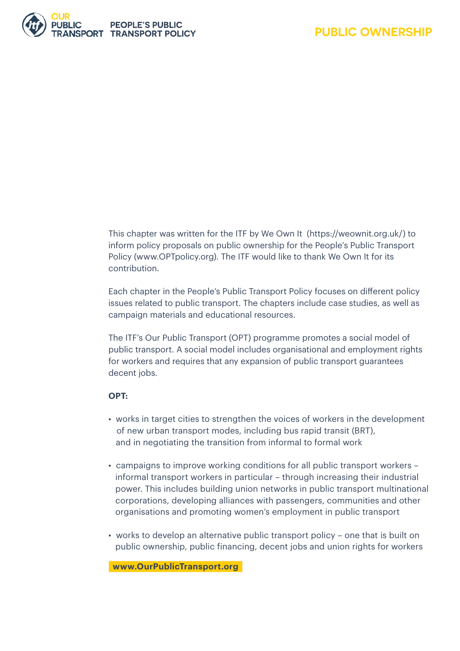

This chapter was written for the ITF by We Own It (<https://weownit.org.uk/>) to inform policy proposals on public ownership for the People's Public Transport Policy [\(www.OPTpolicy.org\)](http://www.OPTpolicy.org). The ITF would like to thank We Own It for its contribution.

Each chapter in the People's Public Transport Policy focuses on different policy issues related to public transport. The chapters include case studies, as well as campaign materials and educational resources.

The ITF's Our Public Transport (OPT) programme promotes a social model of public transport. A social model includes organisational and employment rights for workers and requires that any expansion of public transport guarantees decent jobs.

#### **OPT:**

- works in target cities to strengthen the voices of workers in the development of new urban transport modes, including bus rapid transit (BRT), and in negotiating the transition from informal to formal work
- campaigns to improve working conditions for all public transport workers informal transport workers in particular – through increasing their industrial power. This includes building union networks in public transport multinational corporations, developing alliances with passengers, communities and other organisations and promoting women's employment in public transport
- works to develop an alternative public transport policy one that is built on public ownership, public financing, decent jobs and union rights for workers

**www.OurPublicTransport.org**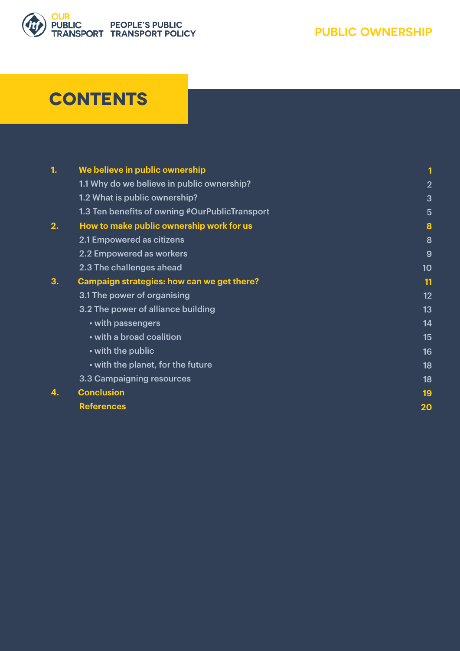

# **Contents**

| 1. | We believe in public ownership                 |                |
|----|------------------------------------------------|----------------|
|    | 1.1 Why do we believe in public ownership?     | $\overline{2}$ |
|    | 1.2 What is public ownership?                  | 3              |
|    | 1.3 Ten benefits of owning #OurPublicTransport | $5\phantom{1}$ |
| 2. | How to make public ownership work for us       | 8              |
|    | 2.1 Empowered as citizens                      | 8              |
|    | 2.2 Empowered as workers                       | 9              |
|    | 2.3 The challenges ahead                       | 10             |
| 3. | Campaign strategies: how can we get there?     | 11             |
|    | 3.1 The power of organising                    | 12             |
|    | 3.2 The power of alliance building             | 13             |
|    | • with passengers                              | 14             |
|    | • with a broad coalition                       | 15             |
|    | • with the public                              | 16             |
|    | • with the planet, for the future              | 18             |
|    | 3.3 Campaigning resources                      | 18             |
| 4. | <b>Conclusion</b>                              | 19             |
|    | <b>References</b>                              | 20             |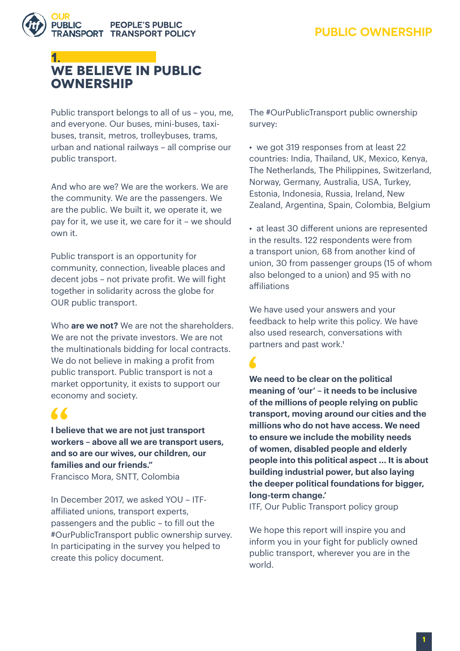

# **1. WE BELIEVE IN PUBLIC OWNERSHIP**

Public transport belongs to all of us – you, me, and everyone. Our buses, mini-buses, taxibuses, transit, metros, trolleybuses, trams, urban and national railways – all comprise our public transport.

And who are we? We are the workers. We are the community. We are the passengers. We are the public. We built it, we operate it, we pay for it, we use it, we care for it – we should own it.

Public transport is an opportunity for community, connection, liveable places and decent jobs – not private profit. We will fight together in solidarity across the globe for OUR public transport.

Who **are we not?** We are not the shareholders. We are not the private investors. We are not the multinationals bidding for local contracts. We do not believe in making a profit from public transport. Public transport is not a market opportunity, it exists to support our economy and society.

# "

**I believe that we are not just transport workers – above all we are transport users, and so are our wives, our children, our families and our friends."**  Francisco Mora, SNTT, Colombia

In December 2017, we asked YOU – ITFaffiliated unions, transport experts, passengers and the public – to fill out the #OurPublicTransport public ownership survey. In participating in the survey you helped to create this policy document.

The #OurPublicTransport public ownership survey:

• we got 319 responses from at least 22 countries: India, Thailand, UK, Mexico, Kenya, The Netherlands, The Philippines, Switzerland, Norway, Germany, Australia, USA, Turkey, Estonia, Indonesia, Russia, Ireland, New Zealand, Argentina, Spain, Colombia, Belgium

• at least 30 different unions are represented in the results. 122 respondents were from a transport union, 68 from another kind of union, 30 from passenger groups (15 of whom also belonged to a union) and 95 with no affiliations

We have used your answers and your feedback to help write this policy. We have also used research, conversations with partners and past work.<sup>1</sup>

**We need to be clear on the political meaning of 'our' – it needs to be inclusive of the millions of people relying on public transport, moving around our cities and the millions who do not have access. We need to ensure we include the mobility needs of women, disabled people and elderly people into this political aspect ... It is about building industrial power, but also laying the deeper political foundations for bigger, long-term change.'**

ITF, Our Public Transport policy group

We hope this report will inspire you and inform you in your fight for publicly owned public transport, wherever you are in the world.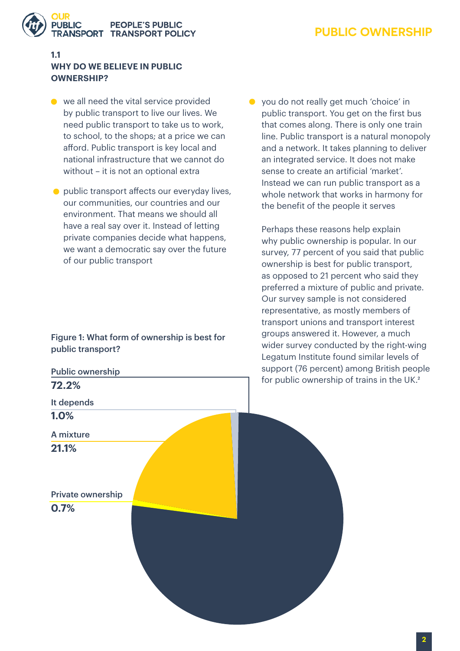

# **PEOPLE'S PUBLIC ISPORT TRANSPORT POLICY**

#### **1.1 WHY DO WE BELIEVE IN PUBLIC OWNERSHIP?**

- we all need the vital service provided by public transport to live our lives. We need public transport to take us to work, to school, to the shops; at a price we can afford. Public transport is key local and national infrastructure that we cannot do without – it is not an optional extra
- public transport affects our everyday lives, our communities, our countries and our environment. That means we should all have a real say over it. Instead of letting private companies decide what happens, we want a democratic say over the future of our public transport

Figure 1: What form of ownership is best for public transport?

● you do not really get much 'choice' in public transport. You get on the first bus that comes along. There is only one train line. Public transport is a natural monopoly and a network. It takes planning to deliver an integrated service. It does not make sense to create an artificial 'market'. Instead we can run public transport as a whole network that works in harmony for the benefit of the people it serves

Perhaps these reasons help explain why public ownership is popular. In our survey, 77 percent of you said that public ownership is best for public transport, as opposed to 21 percent who said they preferred a mixture of public and private. Our survey sample is not considered representative, as mostly members of transport unions and transport interest groups answered it. However, a much wider survey conducted by the right-wing Legatum Institute found similar levels of support (76 percent) among British people for public ownership of trains in the UK.<sup>2</sup>

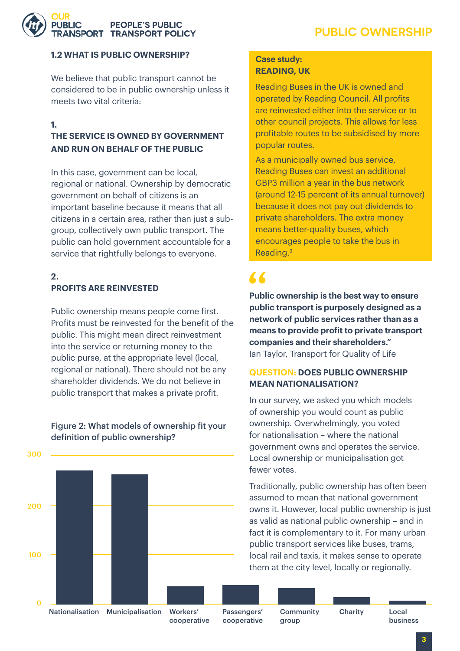#### **1.2 WHAT IS PUBLIC OWNERSHIP?**

**RANSPORT TRANSPORT POLICY** 

We believe that public transport cannot be considered to be in public ownership unless it meets two vital criteria:

**PEOPLE'S PUBLIC** 

#### **1.**

URLIC

#### **THE SERVICE IS OWNED BY GOVERNMENT AND RUN ON BEHALF OF THE PUBLIC**

In this case, government can be local, regional or national. Ownership by democratic government on behalf of citizens is an important baseline because it means that all citizens in a certain area, rather than just a subgroup, collectively own public transport. The public can hold government accountable for a service that rightfully belongs to everyone.

#### **2. PROFITS ARE REINVESTED**

Public ownership means people come first. Profits must be reinvested for the benefit of the public. This might mean direct reinvestment into the service or returning money to the public purse, at the appropriate level (local, regional or national). There should not be any shareholder dividends. We do not believe in public transport that makes a private profit.

#### Figure 2: What models of ownership fit your definition of public ownership?



#### **Case study: READING, UK**

Reading Buses in the UK is owned and operated by Reading Council. All profits are reinvested either into the service or to other council projects. This allows for less profitable routes to be subsidised by more popular routes.

As a municipally owned bus service, Reading Buses can invest an additional GBP3 million a year in the bus network (around 12-15 percent of its annual turnover) because it does not pay out dividends to private shareholders. The extra money means better-quality buses, which encourages people to take the bus in Reading.[3](#page-22-0)

# $\sqrt{2}$

**Public ownership is the best way to ensure public transport is purposely designed as a network of public services rather than as a means to provide profit to private transport companies and their shareholders."**  Ian Taylor, Transport for Quality of Life

#### **QUESTION: DOES PUBLIC OWNERSHIP MEAN NATIONALISATION?**

In our survey, we asked you which models of ownership you would count as public ownership. Overwhelmingly, you voted for nationalisation – where the national government owns and operates the service. Local ownership or municipalisation got fewer votes.

Traditionally, public ownership has often been assumed to mean that national government owns it. However, local public ownership is just as valid as national public ownership – and in fact it is complementary to it. For many urban public transport services like buses, trams, local rail and taxis, it makes sense to operate them at the city level, locally or regionally.

Community Charity

group

**3**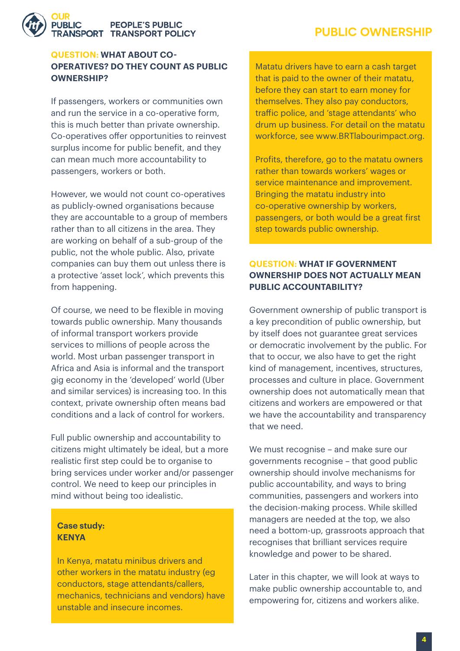#### **PEOPLE'S PUBLIC NSPORT TRANSPORT POLICY**

#### **QUESTION: WHAT ABOUT CO-OPERATIVES? DO THEY COUNT AS PUBLIC OWNERSHIP?**

If passengers, workers or communities own and run the service in a co-operative form, this is much better than private ownership. Co-operatives offer opportunities to reinvest surplus income for public benefit, and they can mean much more accountability to passengers, workers or both.

However, we would not count co-operatives as publicly-owned organisations because they are accountable to a group of members rather than to all citizens in the area. They are working on behalf of a sub-group of the public, not the whole public. Also, private companies can buy them out unless there is a protective 'asset lock', which prevents this from happening.

Of course, we need to be flexible in moving towards public ownership. Many thousands of informal transport workers provide services to millions of people across the world. Most urban passenger transport in Africa and Asia is informal and the transport gig economy in the 'developed' world (Uber and similar services) is increasing too. In this context, private ownership often means bad conditions and a lack of control for workers.

Full public ownership and accountability to citizens might ultimately be ideal, but a more realistic first step could be to organise to bring services under worker and/or passenger control. We need to keep our principles in mind without being too idealistic.

#### **Case study: KENYA**

In Kenya, matatu minibus drivers and other workers in the matatu industry (eg conductors, stage attendants/callers, mechanics, technicians and vendors) have unstable and insecure incomes.

Matatu drivers have to earn a cash target that is paid to the owner of their matatu, before they can start to earn money for themselves. They also pay conductors, traffic police, and 'stage attendants' who drum up business. For detail on the matatu workforce, see www.BRTlabourimpact.org.

Profits, therefore, go to the matatu owners rather than towards workers' wages or service maintenance and improvement. Bringing the matatu industry into co-operative ownership by workers, passengers, or both would be a great first step towards public ownership.

#### **QUESTION: WHAT IF GOVERNMENT OWNERSHIP DOES NOT ACTUALLY MEAN PUBLIC ACCOUNTABILITY?**

Government ownership of public transport is a key precondition of public ownership, but by itself does not guarantee great services or democratic involvement by the public. For that to occur, we also have to get the right kind of management, incentives, structures, processes and culture in place. Government ownership does not automatically mean that citizens and workers are empowered or that we have the accountability and transparency that we need.

We must recognise – and make sure our governments recognise – that good public ownership should involve mechanisms for public accountability, and ways to bring communities, passengers and workers into the decision-making process. While skilled managers are needed at the top, we also need a bottom-up, grassroots approach that recognises that brilliant services require knowledge and power to be shared.

Later in this chapter, we will look at ways to make public ownership accountable to, and empowering for, citizens and workers alike.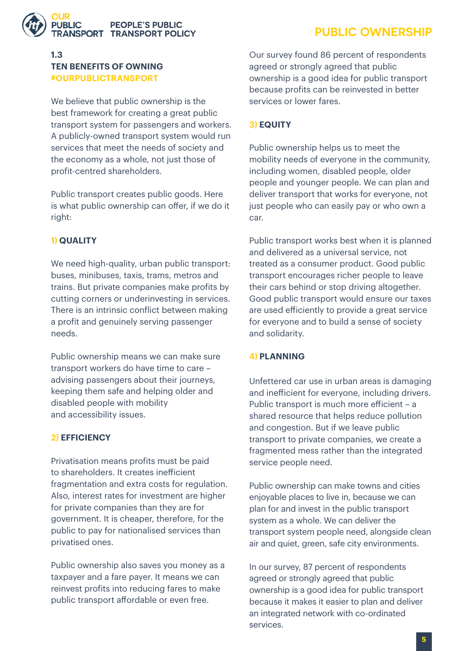

#### **1.3 TEN BENEFITS OF OWNING #OURPUBLICTRANSPORT**

We believe that public ownership is the best framework for creating a great public transport system for passengers and workers. A publicly-owned transport system would run services that meet the needs of society and the economy as a whole, not just those of profit-centred shareholders.

Public transport creates public goods. Here is what public ownership can offer, if we do it right:

#### **1) QUALITY**

We need high-quality, urban public transport: buses, minibuses, taxis, trams, metros and trains. But private companies make profits by cutting corners or underinvesting in services. There is an intrinsic conflict between making a profit and genuinely serving passenger needs.

Public ownership means we can make sure transport workers do have time to care – advising passengers about their journeys, keeping them safe and helping older and disabled people with mobility and accessibility issues.

#### **2) EFFICIENCY**

Privatisation means profits must be paid to shareholders. It creates inefficient fragmentation and extra costs for regulation. Also, interest rates for investment are higher for private companies than they are for government. It is cheaper, therefore, for the public to pay for nationalised services than privatised ones.

Public ownership also saves you money as a taxpayer and a fare payer. It means we can reinvest profits into reducing fares to make public transport affordable or even free.

# **PUBLIC OWNERSHIP**

Our survey found 86 percent of respondents agreed or strongly agreed that public ownership is a good idea for public transport because profits can be reinvested in better services or lower fares.

#### **3) EQUITY**

Public ownership helps us to meet the mobility needs of everyone in the community, including women, disabled people, older people and younger people. We can plan and deliver transport that works for everyone, not just people who can easily pay or who own a car.

Public transport works best when it is planned and delivered as a universal service, not treated as a consumer product. Good public transport encourages richer people to leave their cars behind or stop driving altogether. Good public transport would ensure our taxes are used efficiently to provide a great service for everyone and to build a sense of society and solidarity.

#### **4) PLANNING**

Unfettered car use in urban areas is damaging and inefficient for everyone, including drivers. Public transport is much more efficient – a shared resource that helps reduce pollution and congestion. But if we leave public transport to private companies, we create a fragmented mess rather than the integrated service people need.

Public ownership can make towns and cities enjoyable places to live in, because we can plan for and invest in the public transport system as a whole. We can deliver the transport system people need, alongside clean air and quiet, green, safe city environments.

In our survey, 87 percent of respondents agreed or strongly agreed that public ownership is a good idea for public transport because it makes it easier to plan and deliver an integrated network with co-ordinated services.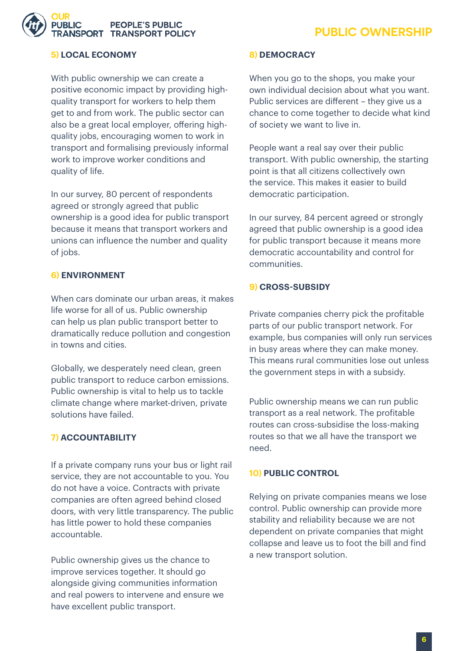# **PEOPLE'S PUBLIC ISPORT TRANSPORT POLICY**

# **PUBLIC OWNERSHIP**

#### **5) LOCAL ECONOMY**

With public ownership we can create a positive economic impact by providing highquality transport for workers to help them get to and from work. The public sector can also be a great local employer, offering highquality jobs, encouraging women to work in transport and formalising previously informal work to improve worker conditions and quality of life.

In our survey, 80 percent of respondents agreed or strongly agreed that public ownership is a good idea for public transport because it means that transport workers and unions can influence the number and quality of jobs.

#### **6) ENVIRONMENT**

When cars dominate our urban areas, it makes life worse for all of us. Public ownership can help us plan public transport better to dramatically reduce pollution and congestion in towns and cities.

Globally, we desperately need clean, green public transport to reduce carbon emissions. Public ownership is vital to help us to tackle climate change where market-driven, private solutions have failed.

#### **7) ACCOUNTABILITY**

If a private company runs your bus or light rail service, they are not accountable to you. You do not have a voice. Contracts with private companies are often agreed behind closed doors, with very little transparency. The public has little power to hold these companies accountable.

Public ownership gives us the chance to improve services together. It should go alongside giving communities information and real powers to intervene and ensure we have excellent public transport.

#### **8) DEMOCRACY**

When you go to the shops, you make your own individual decision about what you want. Public services are different – they give us a chance to come together to decide what kind of society we want to live in.

People want a real say over their public transport. With public ownership, the starting point is that all citizens collectively own the service. This makes it easier to build democratic participation.

In our survey, 84 percent agreed or strongly agreed that public ownership is a good idea for public transport because it means more democratic accountability and control for communities.

#### **9) CROSS-SUBSIDY**

Private companies cherry pick the profitable parts of our public transport network. For example, bus companies will only run services in busy areas where they can make money. This means rural communities lose out unless the government steps in with a subsidy.

Public ownership means we can run public transport as a real network. The profitable routes can cross-subsidise the loss-making routes so that we all have the transport we need.

#### **10) PUBLIC CONTROL**

Relying on private companies means we lose control. Public ownership can provide more stability and reliability because we are not dependent on private companies that might collapse and leave us to foot the bill and find a new transport solution.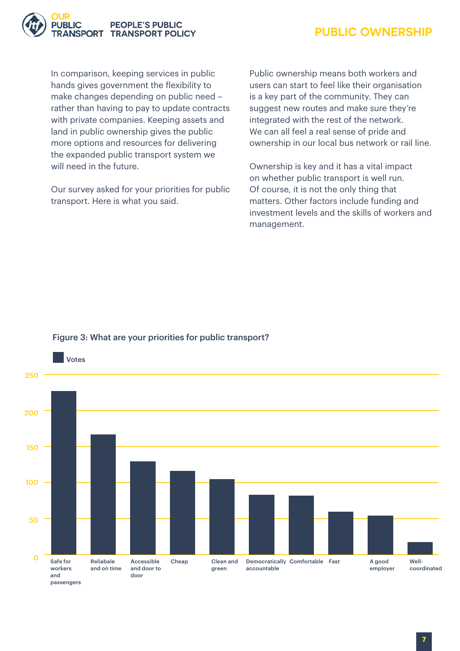

In comparison, keeping services in public hands gives government the flexibility to make changes depending on public need – rather than having to pay to update contracts with private companies. Keeping assets and land in public ownership gives the public more options and resources for delivering the expanded public transport system we will need in the future.

Our survey asked for your priorities for public transport. Here is what you said.

Public ownership means both workers and users can start to feel like their organisation is a key part of the community. They can suggest new routes and make sure they're integrated with the rest of the network. We can all feel a real sense of pride and ownership in our local bus network or rail line.

Ownership is key and it has a vital impact on whether public transport is well run. Of course, it is not the only thing that matters. Other factors include funding and investment levels and the skills of workers and management.



#### Figure 3: What are your priorities for public transport?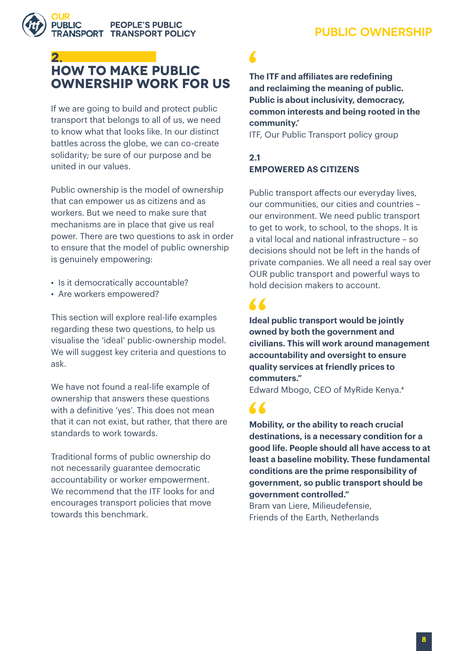

# **2. HOW TO MAKE PUBLIC OWNERSHIP WORK FOR US**

If we are going to build and protect public transport that belongs to all of us, we need to know what that looks like. In our distinct battles across the globe, we can co-create solidarity; be sure of our purpose and be united in our values.

Public ownership is the model of ownership that can empower us as citizens and as workers. But we need to make sure that mechanisms are in place that give us real power. There are two questions to ask in order to ensure that the model of public ownership is genuinely empowering:

- Is it democratically accountable?
- Are workers empowered?

This section will explore real-life examples regarding these two questions, to help us visualise the 'ideal' public-ownership model. We will suggest key criteria and questions to ask.

We have not found a real-life example of ownership that answers these questions with a definitive 'yes'. This does not mean that it can not exist, but rather, that there are standards to work towards.

Traditional forms of public ownership do not necessarily guarantee democratic accountability or worker empowerment. We recommend that the ITF looks for and encourages transport policies that move towards this benchmark.

**The ITF and affiliates are redefining and reclaiming the meaning of public. Public is about inclusivity, democracy, common interests and being rooted in the community.'**

ITF, Our Public Transport policy group

#### **2.1 EMPOWERED AS CITIZENS**

Public transport affects our everyday lives, our communities, our cities and countries – our environment. We need public transport to get to work, to school, to the shops. It is a vital local and national infrastructure – so decisions should not be left in the hands of private companies. We all need a real say over OUR public transport and powerful ways to hold decision makers to account.

 $\overline{\mathbf{A}}$ 

66

**Ideal public transport would be jointly owned by both the government and civilians. This will work around management accountability and oversight to ensure quality services at friendly prices to commuters."** 

Edward Mbogo, CEO of MyRide Kenya[.4](#page-22-0)

**Mobility, or the ability to reach crucial destinations, is a necessary condition for a good life. People should all have access to at least a baseline mobility. These fundamental conditions are the prime responsibility of government, so public transport should be government controlled."** 

Bram van Liere, Milieudefensie, Friends of the Earth, Netherlands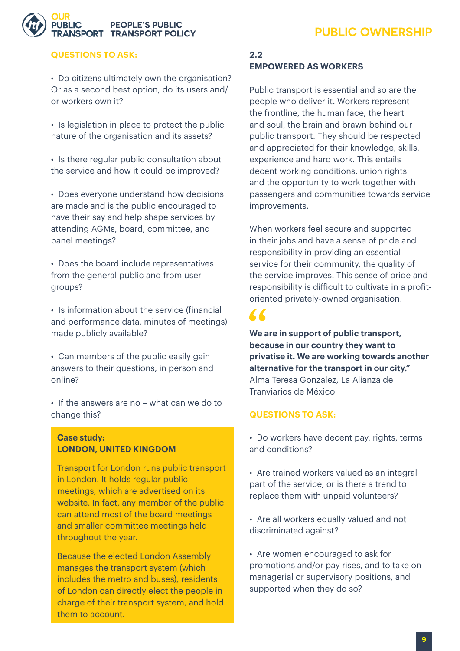

#### **QUESTIONS TO ASK:**

• Do citizens ultimately own the organisation? Or as a second best option, do its users and/ or workers own it?

• Is legislation in place to protect the public nature of the organisation and its assets?

• Is there regular public consultation about the service and how it could be improved?

• Does everyone understand how decisions are made and is the public encouraged to have their say and help shape services by attending AGMs, board, committee, and panel meetings?

• Does the board include representatives from the general public and from user groups?

• Is information about the service (financial and performance data, minutes of meetings) made publicly available?

• Can members of the public easily gain answers to their questions, in person and online?

• If the answers are no – what can we do to change this?

#### **Case study: LONDON, UNITED KINGDOM**

Transport for London runs public transport in London. It holds regular public meetings, which are advertised on its website. In fact, any member of the public can attend most of the board meetings and smaller committee meetings held throughout the year.

Because the elected London Assembly manages the transport system (which includes the metro and buses), residents of London can directly elect the people in charge of their transport system, and hold them to account.

#### **2.2 EMPOWERED AS WORKERS**

Public transport is essential and so are the people who deliver it. Workers represent the frontline, the human face, the heart and soul, the brain and brawn behind our public transport. They should be respected and appreciated for their knowledge, skills, experience and hard work. This entails decent working conditions, union rights and the opportunity to work together with passengers and communities towards service improvements.

When workers feel secure and supported in their jobs and have a sense of pride and responsibility in providing an essential service for their community, the quality of the service improves. This sense of pride and responsibility is difficult to cultivate in a profitoriented privately-owned organisation.

"

**We are in support of public transport, because in our country they want to privatise it. We are working towards another alternative for the transport in our city."**  Alma Teresa Gonzalez, La Alianza de Tranviarios de México

#### **QUESTIONS TO ASK:**

- Do workers have decent pay, rights, terms and conditions?
- Are trained workers valued as an integral part of the service, or is there a trend to replace them with unpaid volunteers?
- Are all workers equally valued and not discriminated against?

• Are women encouraged to ask for promotions and/or pay rises, and to take on managerial or supervisory positions, and supported when they do so?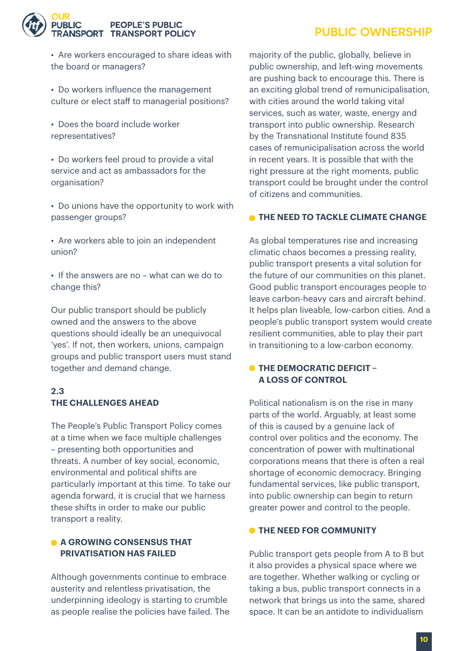#### **PEOPLE'S PUBLIC NSPORT TRANSPORT POLICY**

# **PUBLIC OWNERSHIP**

- Are workers encouraged to share ideas with the board or managers?
- Do workers influence the management culture or elect staff to managerial positions?
- Does the board include worker representatives?
- Do workers feel proud to provide a vital service and act as ambassadors for the organisation?
- Do unions have the opportunity to work with passenger groups?
- Are workers able to join an independent union?
- If the answers are no what can we do to change this?

Our public transport should be publicly owned and the answers to the above questions should ideally be an unequivocal 'yes'. If not, then workers, unions, campaign groups and public transport users must stand together and demand change.

#### **2.3 THE CHALLENGES AHEAD**

The People's Public Transport Policy comes at a time when we face multiple challenges – presenting both opportunities and threats. A number of key social, economic, environmental and political shifts are particularly important at this time. To take our agenda forward, it is crucial that we harness these shifts in order to make our public transport a reality.

#### **A GROWING CONSENSUS THAT PRIVATISATION HAS FAILED**

Although governments continue to embrace austerity and relentless privatisation, the underpinning ideology is starting to crumble as people realise the policies have failed. The majority of the public, globally, believe in public ownership, and left-wing movements are pushing back to encourage this. There is an exciting global trend of remunicipalisation, with cities around the world taking vital services, such as water, waste, energy and transport into public ownership. Research by the Transnational Institute found 835 cases of remunicipalisation across the world in recent years. It is possible that with the right pressure at the right moments, public transport could be brought under the control of citizens and communities.

#### **THE NEED TO TACKLE CLIMATE CHANGE**

As global temperatures rise and increasing climatic chaos becomes a pressing reality, public transport presents a vital solution for the future of our communities on this planet. Good public transport encourages people to leave carbon-heavy cars and aircraft behind. It helps plan liveable, low-carbon cities. And a people's public transport system would create resilient communities, able to play their part in transitioning to a low-carbon economy.

#### $\bullet$  **THE DEMOCRATIC DEFICIT – A LOSS OF CONTROL**

Political nationalism is on the rise in many parts of the world. Arguably, at least some of this is caused by a genuine lack of control over politics and the economy. The concentration of power with multinational corporations means that there is often a real shortage of economic democracy. Bringing fundamental services, like public transport, into public ownership can begin to return greater power and control to the people.

#### **O** THE NEED FOR COMMUNITY

Public transport gets people from A to B but it also provides a physical space where we are together. Whether walking or cycling or taking a bus, public transport connects in a network that brings us into the same, shared space. It can be an antidote to individualism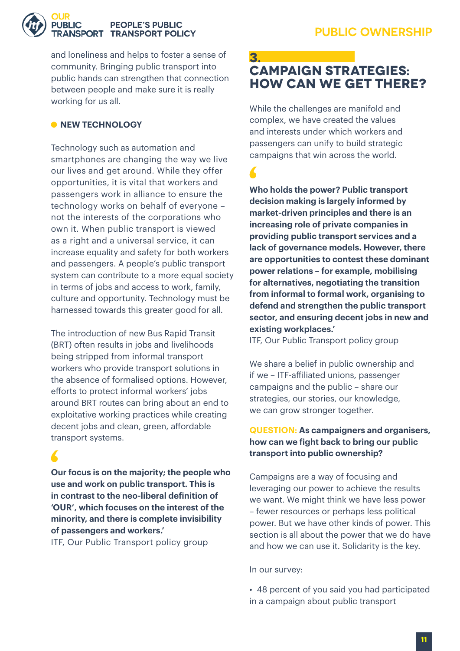#### **PEOPLE'S PUBLIC NSPORT TRANSPORT POLICY**

and loneliness and helps to foster a sense of community. Bringing public transport into public hands can strengthen that connection between people and make sure it is really working for us all.

### **• NEW TECHNOLOGY**

Technology such as automation and smartphones are changing the way we live our lives and get around. While they offer opportunities, it is vital that workers and passengers work in alliance to ensure the technology works on behalf of everyone – not the interests of the corporations who own it. When public transport is viewed as a right and a universal service, it can increase equality and safety for both workers and passengers. A people's public transport system can contribute to a more equal society in terms of jobs and access to work, family, culture and opportunity. Technology must be harnessed towards this greater good for all.

The introduction of new Bus Rapid Transit (BRT) often results in jobs and livelihoods being stripped from informal transport workers who provide transport solutions in the absence of formalised options. However, efforts to protect informal workers' jobs around BRT routes can bring about an end to exploitative working practices while creating decent jobs and clean, green, affordable transport systems.

**Our focus is on the majority; the people who use and work on public transport. This is in contrast to the neo-liberal definition of 'OUR', which focuses on the interest of the minority, and there is complete invisibility of passengers and workers.'** 

ITF, Our Public Transport policy group

## **3. CAMPAIGN STRATEGIES: HOW CAN WE GET THERE?**

While the challenges are manifold and complex, we have created the values and interests under which workers and passengers can unify to build strategic campaigns that win across the world.

**Who holds the power? Public transport decision making is largely informed by market-driven principles and there is an increasing role of private companies in providing public transport services and a lack of governance models. However, there are opportunities to contest these dominant power relations – for example, mobilising for alternatives, negotiating the transition from informal to formal work, organising to defend and strengthen the public transport sector, and ensuring decent jobs in new and existing workplaces.'**

ITF, Our Public Transport policy group

We share a belief in public ownership and if we – ITF-affiliated unions, passenger campaigns and the public – share our strategies, our stories, our knowledge, we can grow stronger together.

#### **QUESTION: As campaigners and organisers, how can we fight back to bring our public transport into public ownership?**

Campaigns are a way of focusing and leveraging our power to achieve the results we want. We might think we have less power – fewer resources or perhaps less political power. But we have other kinds of power. This section is all about the power that we do have and how we can use it. Solidarity is the key.

In our survey:

• 48 percent of you said you had participated in a campaign about public transport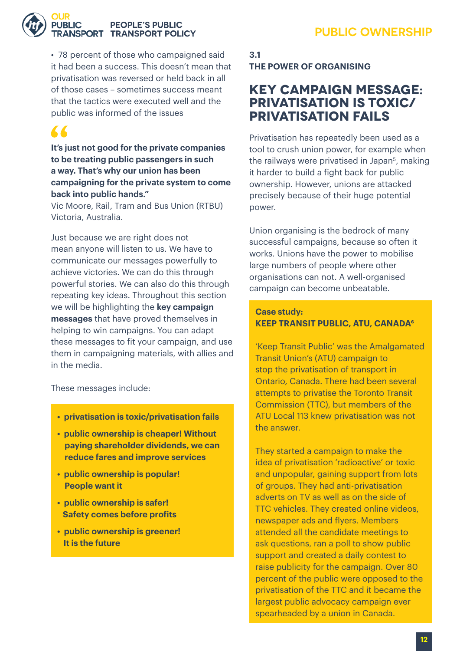

#### **PEOPLE'S PUBLIC RANSPORT TRANSPORT POLICY**

• 78 percent of those who campaigned said it had been a success. This doesn't mean that privatisation was reversed or held back in all of those cases – sometimes success meant that the tactics were executed well and the public was informed of the issues

# $\blacktriangle$

**It's just not good for the private companies to be treating public passengers in such a way. That's why our union has been campaigning for the private system to come back into public hands."** 

Vic Moore, Rail, Tram and Bus Union (RTBU) Victoria, Australia.

Just because we are right does not mean anyone will listen to us. We have to communicate our messages powerfully to achieve victories. We can do this through powerful stories. We can also do this through repeating key ideas. Throughout this section we will be highlighting the **key campaign messages** that have proved themselves in helping to win campaigns. You can adapt these messages to fit your campaign, and use them in campaigning materials, with allies and in the media.

These messages include:

- **privatisation is toxic/privatisation fails**
- **public ownership is cheaper! Without paying shareholder dividends, we can reduce fares and improve services**
- **public ownership is popular! People want it**
- **public ownership is safer! Safety comes before profits**
- **public ownership is greener! It is the future**

## **3.1 THE POWER OF ORGANISING**

# **Key campaign message: Privatisation is toxic/ privatisation fails**

Privatisation has repeatedly been used as a tool to crush union power, for example when the railways were privatised in Japan<sup>5</sup>, making it harder to build a fight back for public ownership. However, unions are attacked precisely because of their huge potential power.

Union organising is the bedrock of many successful campaigns, because so often it works. Unions have the power to mobilise large numbers of people where other organisations can not. A well-organised campaign can become unbeatable.

#### **Case study: KEEP TRANSIT PUBLIC, ATU, CANADA<sup>6</sup>**

'Keep Transit Public' was the Amalgamated Transit Union's (ATU) campaign to stop the privatisation of transport in Ontario, Canada. There had been several attempts to privatise the Toronto Transit Commission (TTC), but members of the ATU Local 113 knew privatisation was not the answer.

They started a campaign to make the idea of privatisation 'radioactive' or toxic and unpopular, gaining support from lots of groups. They had anti-privatisation adverts on TV as well as on the side of TTC vehicles. They created online videos, newspaper ads and flyers. Members attended all the candidate meetings to ask questions, ran a poll to show public support and created a daily contest to raise publicity for the campaign. Over 80 percent of the public were opposed to the privatisation of the TTC and it became the largest public advocacy campaign ever spearheaded by a union in Canada.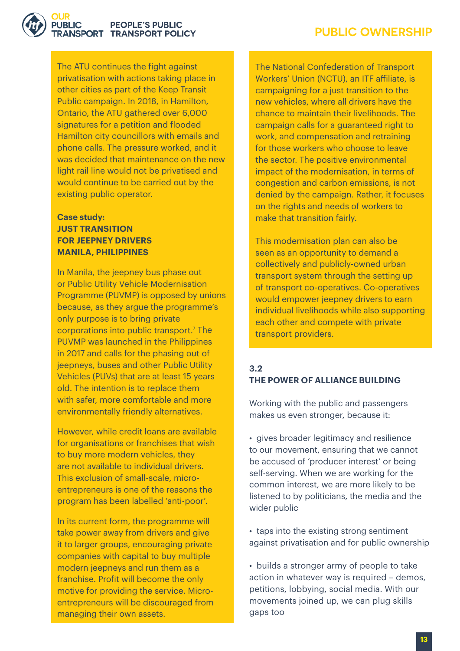

#### **PEOPLE'S PUBLIC** RANSPORT TRANSPORT POLICY

The ATU continues the fight against privatisation with actions taking place in other cities as part of the Keep Transit Public campaign. In 2018, in Hamilton, Ontario, the ATU gathered over 6,000 signatures for a petition and flooded Hamilton city councillors with emails and phone calls. The pressure worked, and it was decided that maintenance on the new light rail line would not be privatised and would continue to be carried out by the existing public operator.

#### **Case study: JUST TRANSITION FOR JEEPNEY DRIVERS MANILA, PHILIPPINES**

In Manila, the jeepney bus phase out or Public Utility Vehicle Modernisation Programme (PUVMP) is opposed by unions because, as they argue the programme's only purpose is to bring private corporations into public transport[.7](#page-22-0) The PUVMP was launched in the Philippines in 2017 and calls for the phasing out of jeepneys, buses and other Public Utility Vehicles (PUVs) that are at least 15 years old. The intention is to replace them with safer, more comfortable and more environmentally friendly alternatives.

However, while credit loans are available for organisations or franchises that wish to buy more modern vehicles, they are not available to individual drivers. This exclusion of small-scale, microentrepreneurs is one of the reasons the program has been labelled 'anti-poor'.

In its current form, the programme will take power away from drivers and give it to larger groups, encouraging private companies with capital to buy multiple modern jeepneys and run them as a franchise. Profit will become the only motive for providing the service. Microentrepreneurs will be discouraged from managing their own assets.

The [National Confederation of Transport](http://www.apl.org.ph/)  [Workers' Union \(NCTU\)](http://www.apl.org.ph/), an ITF affiliate, is campaigning for a just transition to the new vehicles, where all drivers have the chance to maintain their livelihoods. The campaign calls for a guaranteed right to work, and compensation and retraining for those workers who choose to leave the sector. The positive environmental impact of the modernisation, in terms of congestion and carbon emissions, is not denied by the campaign. Rather, it focuses on the rights and needs of workers to make that transition fairly.

This modernisation plan can also be seen as an opportunity to demand a collectively and publicly-owned urban transport system through the setting up of transport co-operatives. Co-operatives would empower jeepney drivers to earn individual livelihoods while also supporting each other and compete with private transport providers.

#### **3.2 THE POWER OF ALLIANCE BUILDING**

Working with the public and passengers makes us even stronger, because it:

• gives broader legitimacy and resilience to our movement, ensuring that we cannot be accused of 'producer interest' or being self-serving. When we are working for the common interest, we are more likely to be listened to by politicians, the media and the wider public

• taps into the existing strong sentiment against privatisation and for public ownership

• builds a stronger army of people to take action in whatever way is required – demos, petitions, lobbying, social media. With our movements joined up, we can plug skills gaps too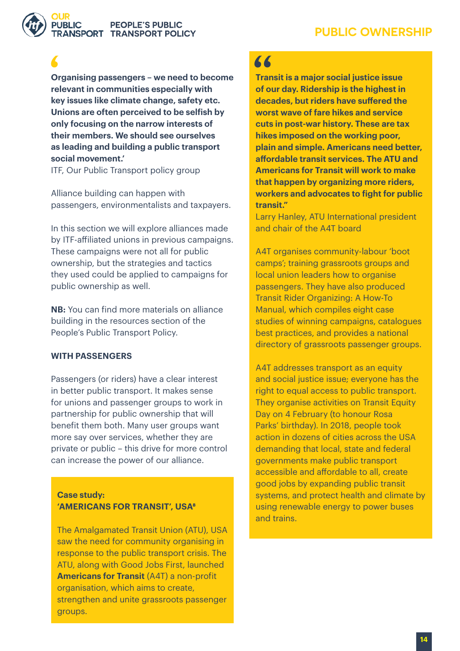

#### **PEOPLE'S PUBLIC NSPORT TRANSPORT POLICY**

**Organising passengers – we need to become relevant in communities especially with key issues like climate change, safety etc. Unions are often perceived to be selfish by only focusing on the narrow interests of their members. We should see ourselves as leading and building a public transport social movement.'**

ITF, Our Public Transport policy group

Alliance building can happen with passengers, environmentalists and taxpayers.

In this section we will explore alliances made by ITF-affiliated unions in previous campaigns. These campaigns were not all for public ownership, but the strategies and tactics they used could be applied to campaigns for public ownership as well.

**NB:** You can find more materials on alliance building in the resources section of the People's Public Transport Policy.

#### **WITH PASSENGERS**

Passengers (or riders) have a clear interest in better public transport. It makes sense for unions and passenger groups to work in partnership for public ownership that will benefit them both. Many user groups want more say over services, whether they are private or public – this drive for more control can increase the power of our alliance.

#### **Case study: 'AMERICANS FOR TRANSIT', USA<sup>8</sup>**

The Amalgamated Transit Union (ATU), USA saw the need for community organising in response to the public transport crisis. The ATU, along with Good Jobs First, launched **Americans for Transit** (A4T) a non-profit organisation, which aims to create, strengthen and unite grassroots passenger groups.

# $\overline{11}$

**Transit is a major social justice issue of our day. Ridership is the highest in decades, but riders have suffered the worst wave of fare hikes and service cuts in post-war history. These are tax hikes imposed on the working poor, plain and simple. Americans need better, affordable transit services. The ATU and Americans for Transit will work to make that happen by organizing more riders, workers and advocates to fight for public transit."** 

Larry Hanley, ATU International president and chair of the A4T board

A4T organises community-labour 'boot camps'; training grassroots groups and local union leaders how to organise passengers. They have also produced [Transit Rider Organizing: A How-To](http://www.goodjobsfirst.org/sites/default/files/docs/pdf/transitmanual.pdf)  [Manual,](http://www.goodjobsfirst.org/sites/default/files/docs/pdf/transitmanual.pdf) which compiles eight case studies of winning campaigns, catalogues best practices, and provides a national directory of grassroots passenger groups.

A4T addresses transport as an equity and social justice issue; everyone has the right to equal access to public transport. They organise activities on Transit Equity Day on 4 February (to honour Rosa Parks' birthday). In 2018, people took action in dozens of cities across the USA demanding that local, state and federal governments make public transport accessible and affordable to all, create good jobs by expanding public transit systems, and protect health and climate by using renewable energy to power buses and trains.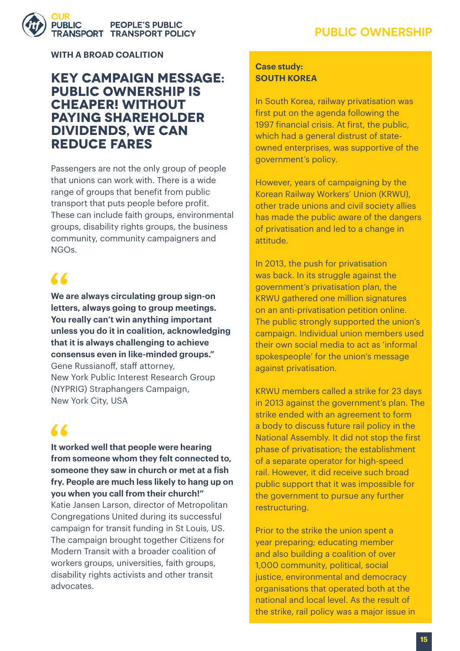

**WITH A BROAD COALITION**

# **Key campaign message: public ownership is cheaper! Without paying shareholder dividends, we can reduce fares**

Passengers are not the only group of people that unions can work with. There is a wide range of groups that benefit from public transport that puts people before profit. These can include faith groups, environmental groups, disability rights groups, the business community, community campaigners and NGOs.

# $\sqrt{2}$

**We are always circulating group sign-on letters, always going to group meetings. You really can't win anything important unless you do it in coalition, acknowledging that it is always challenging to achieve consensus even in like-minded groups."**  Gene Russianoff, staff attorney, [New York Public Interest Research Group](https://www.nypirg.org/)  (NYPRIG) Straphangers Campaign, New York City, USA

# $\blacktriangle$

**It worked well that people were hearing from someone whom they felt connected to, someone they saw in church or met at a fish fry. People are much less likely to hang up on you when you call from their church!"**  Katie Jansen Larson, director of Metropolitan Congregations United during its successful campaign for transit funding in St Louis, US. The campaign brought together Citizens for Modern Transit with a broader coalition of workers groups, universities, faith groups, disability rights activists and other transit advocates.

#### **Case study: SOUTH KOREA**

In South Korea, railway privatisation was first put on the agenda following the 1997 financial crisis. At first, the public, which had a general distrust of stateowned enterprises, was supportive of the government's policy.

However, years of campaigning by the Korean Railway Workers' Union (KRWU), other trade unions and civil society allies has made the public aware of the dangers of privatisation and led to a change in attitude.

In 2013, the push for privatisation was back. In its struggle against the government's privatisation plan, the KRWU gathered one million signatures on an anti-privatisation petition online. The public strongly supported the union's campaign. Individual union members used their own social media to act as 'informal spokespeople' for the union's message against privatisation.

KRWU members called a strike for 23 days in 2013 against the government's plan. The strike ended with an agreement to form a body to discuss future rail policy in the National Assembly. It did not stop the first phase of privatisation; the establishment of a separate operator for high-speed rail. However, it did receive such broad public support that it was impossible for the government to pursue any further restructuring.

Prior to the strike the union spent a year preparing; educating member and also building a coalition of over 1,000 community, political, social justice, environmental and democracy organisations that operated both at the national and local level. As the result of the strike, rail policy was a major issue in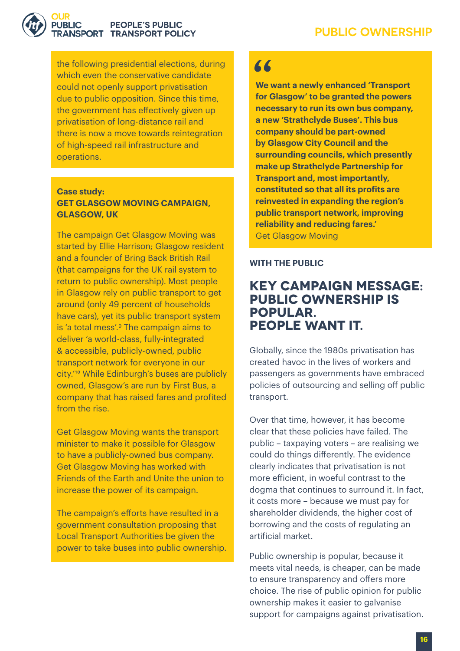

#### **PEOPLE'S PUBLIC RANSPORT TRANSPORT POLICY**

the following presidential elections, during which even the conservative candidate could not openly support privatisation due to public opposition. Since this time, the government has effectively given up privatisation of long-distance rail and there is now a move towards reintegration of high-speed rail infrastructure and operations.

#### **Case study: GET GLASGOW MOVING CAMPAIGN, GLASGOW, UK**

The campaign Get Glasgow Moving was started by Ellie Harrison: Glasgow resident and a founder of Bring Back British Rail (that campaigns for the UK rail system to return to public ownership). Most people in Glasgow rely on public transport to get around (only 49 percent of households have cars), yet its public transport system is 'a total mess'[.9](#page-22-0) The campaign aims to deliver 'a world-class, fully-integrated & accessible, publicly-owned, public transport network for everyone in our city.'[10](#page-22-0) While Edinburgh's buses are publicly owned, Glasgow's are run by First Bus, a company that has raised fares and profited from the rise.

Get Glasgow Moving wants the transport minister to make it possible for Glasgow to have a publicly-owned bus company. Get Glasgow Moving has worked with Friends of the Earth and Unite the union to increase the power of its campaign.

The campaign's efforts have resulted in a government consultation proposing that Local Transport Authorities be given the power to take buses into public ownership.

# $\overline{11}$

**We want a newly enhanced 'Transport for Glasgow' to be granted the powers necessary to run its own bus company, a new 'Strathclyde Buses'. This bus company should be part-owned by Glasgow City Council and the surrounding councils, which presently make up Strathclyde Partnership for Transport and, most importantly, constituted so that all its profits are reinvested in expanding the region's public transport network, improving reliability and reducing fares.'**  Get Glasgow Moving

#### **WITH THE PUBLIC**

# **Key campaign message: public ownership is popular. People want it.**

Globally, since the 1980s privatisation has created havoc in the lives of workers and passengers as governments have embraced policies of outsourcing and selling off public transport.

Over that time, however, it has become clear that these policies have failed. The public – taxpaying voters – are realising we could do things differently. The evidence clearly indicates that privatisation is not more efficient, in woeful contrast to the dogma that continues to surround it. In fact, it costs more – because we must pay for shareholder dividends, the higher cost of borrowing and the costs of regulating an artificial market.

Public ownership is popular, because it meets vital needs, is cheaper, can be made to ensure transparency and offers more choice. The rise of public opinion for public ownership makes it easier to galvanise support for campaigns against privatisation.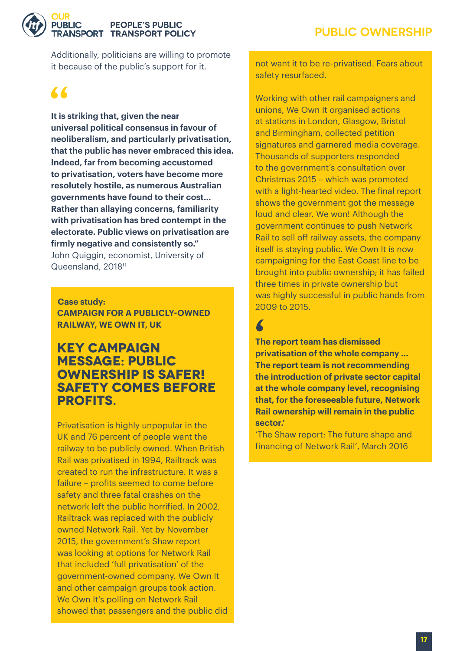<span id="page-19-0"></span>

#### **PEOPLE'S PUBLIC RANSPORT TRANSPORT POLICY**

Additionally, politicians are willing to promote it because of the public's support for it.

# $\sqrt{2}$

I

**It is striking that, given the near universal political consensus in favour of neoliberalism, and particularly privatisation, that the public has never embraced this idea. Indeed, far from becoming accustomed to privatisation, voters have become more resolutely hostile, as numerous Australian governments have found to their cost… Rather than allaying concerns, familiarity with privatisation has bred contempt in the electorate. Public views on privatisation are firmly negative and consistently so."** John Quiggin, economist, University of Queensland, 2018<sup>11</sup>

 **Case study: CAMPAIGN FOR A PUBLICLY-OWNED RAILWAY, WE OWN IT, UK**

# **Key campaign message: public ownership is safer! Safety comes before profits.**

Privatisation is highly unpopular in the UK and 76 percent of people want the railway to be publicly owned. When British Rail was privatised in 1994, Railtrack was created to run the infrastructure. It was a failure – profits seemed to come before safety and three fatal crashes on the network left the public horrified. In 2002, Railtrack was replaced with the publicly owned Network Rail. Yet by November 2015, the government's Shaw report was looking at options for Network Rail that included 'full privatisation' of the government-owned company. We Own It and other campaign groups took action. We Own It's polling on Network Rail showed that passengers and the public did not want it to be re-privatised. Fears about safety resurfaced.

Working with other rail campaigners and unions, We Own It organised actions at stations in London, Glasgow, Bristol and Birmingham, collected petition signatures and garnered media coverage. Thousands of supporters responded to the government's consultation over Christmas 2015 – which was promoted with a light-hearted video. The final report shows the government got the message loud and clear. We won! Although the government continues to push Network Rail to sell off railway assets, the company itself is staying public. We Own It is now campaigning for the East Coast line to be brought into public ownership; it has failed three times in private ownership but was highly successful in public hands from 2009 to 2015.

**The report team has dismissed privatisation of the whole company … The report team is not recommending the introduction of private sector capital at the whole company level, recognising that, for the foreseeable future, Network Rail ownership will remain in the public sector.'** 

'The Shaw report: The future shape and financing of Network Rail', March 2016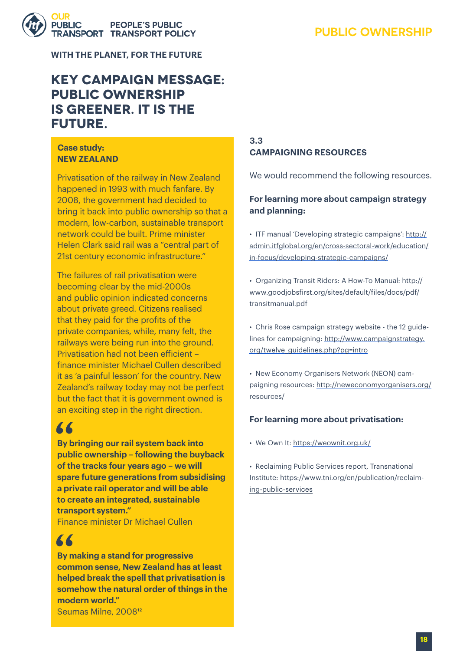# **PEOPLE'S PUBLIC INSPORT TRANSPORT POLICY**

**PUBLIC OWNERSHIP**

**WITH THE PLANET, FOR THE FUTURE**

# **Key campaign message: public ownership IS GREENER. IT IS THE future.**

#### **Case study: NEW ZEALAND**

Privatisation of the railway in New Zealand happened in 1993 with much fanfare. By 2008, the government had decided to bring it back into public ownership so that a modern, low-carbon, sustainable transport network could be built. Prime minister Helen Clark said rail was a "central part of 21st century economic infrastructure."

The failures of rail privatisation were becoming clear by the mid-2000s and public opinion indicated concerns about private greed. Citizens realised that they paid for the profits of the private companies, while, many felt, the railways were being run into the ground. Privatisation had not been efficient – finance minister Michael Cullen described it as 'a painful lesson' for the country. New Zealand's railway today may not be perfect but the fact that it is government owned is an exciting step in the right direction.

# 66

**By bringing our rail system back into public ownership – following the buyback of the tracks four years ago – we will spare future generations from subsidising a private rail operator and will be able to create an integrated, sustainable transport system."** 

Finance minister Dr Michael Cullen

# 66

**By making a stand for progressive common sense, New Zealand has at least helped break the spell that privatisation is somehow the natural order of things in the modern world."**  Seumas Milne, 2008[12](#page-19-0)

#### **3.3 CAMPAIGNING RESOURCES**

We would recommend the following resources.

#### **For learning more about campaign strategy and planning:**

• ITF manual 'Developing strategic campaigns': [http://](http://admin.itfglobal.org/en/cross-sectoral-work/education/in-focus/developing-strategic-campaigns/) [admin.itfglobal.org/en/cross-sectoral-work/education/](http://admin.itfglobal.org/en/cross-sectoral-work/education/in-focus/developing-strategic-campaigns/) [in-focus/developing-strategic-campaigns/](http://admin.itfglobal.org/en/cross-sectoral-work/education/in-focus/developing-strategic-campaigns/)

• Organizing Transit Riders: A How-To Manual: [http://](http://www.goodjobsfirst.org/sites/default/files/docs/pdf/transitmanual.pdf) [www.goodjobsfirst.org/sites/default/files/docs/pdf/](http://www.goodjobsfirst.org/sites/default/files/docs/pdf/transitmanual.pdf) [transitmanual.pdf](http://www.goodjobsfirst.org/sites/default/files/docs/pdf/transitmanual.pdf)

• Chris Rose campaign strategy website - the 12 guidelines for campaigning: [http://www.campaignstrategy.](http://www.campaignstrategy.org/twelve_guidelines.php?pg=intro) [org/twelve\\_guidelines.php?pg=intro](http://www.campaignstrategy.org/twelve_guidelines.php?pg=intro)

• New Economy Organisers Network (NEON) campaigning resources: [http://neweconomyorganisers.org/](http://neweconomyorganisers.org/resources/) [resources/](http://neweconomyorganisers.org/resources/)

#### **For learning more about privatisation:**

- We Own It: <https://weownit.org.uk/>
- Reclaiming Public Services report, Transnational Institute: [https://www.tni.org/en/publication/reclaim](https://www.tni.org/en/publication/reclaiming-public-services)[ing-public-services](https://www.tni.org/en/publication/reclaiming-public-services)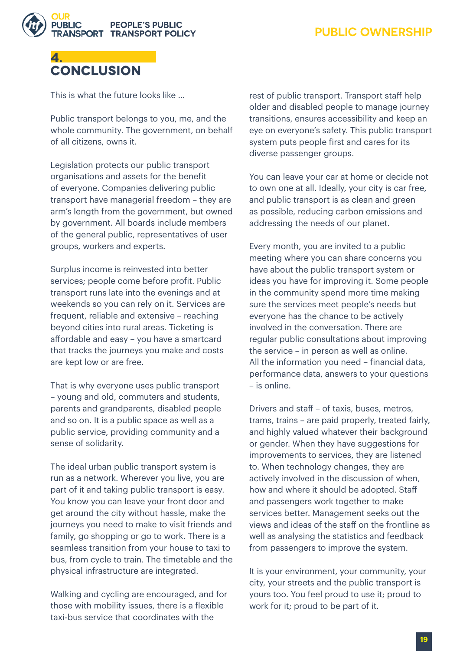



This is what the future looks like …

Public transport belongs to you, me, and the whole community. The government, on behalf of all citizens, owns it.

Legislation protects our public transport organisations and assets for the benefit of everyone. Companies delivering public transport have managerial freedom – they are arm's length from the government, but owned by government. All boards include members of the general public, representatives of user groups, workers and experts.

Surplus income is reinvested into better services; people come before profit. Public transport runs late into the evenings and at weekends so you can rely on it. Services are frequent, reliable and extensive – reaching beyond cities into rural areas. Ticketing is affordable and easy – you have a smartcard that tracks the journeys you make and costs are kept low or are free.

That is why everyone uses public transport – young and old, commuters and students, parents and grandparents, disabled people and so on. It is a public space as well as a public service, providing community and a sense of solidarity.

The ideal urban public transport system is run as a network. Wherever you live, you are part of it and taking public transport is easy. You know you can leave your front door and get around the city without hassle, make the journeys you need to make to visit friends and family, go shopping or go to work. There is a seamless transition from your house to taxi to bus, from cycle to train. The timetable and the physical infrastructure are integrated.

Walking and cycling are encouraged, and for those with mobility issues, there is a flexible taxi-bus service that coordinates with the

rest of public transport. Transport staff help older and disabled people to manage journey transitions, ensures accessibility and keep an eye on everyone's safety. This public transport system puts people first and cares for its diverse passenger groups.

You can leave your car at home or decide not to own one at all. Ideally, your city is car free, and public transport is as clean and green as possible, reducing carbon emissions and addressing the needs of our planet.

Every month, you are invited to a public meeting where you can share concerns you have about the public transport system or ideas you have for improving it. Some people in the community spend more time making sure the services meet people's needs but everyone has the chance to be actively involved in the conversation. There are regular public consultations about improving the service – in person as well as online. All the information you need – financial data, performance data, answers to your questions – is online.

Drivers and staff – of taxis, buses, metros, trams, trains – are paid properly, treated fairly, and highly valued whatever their background or gender. When they have suggestions for improvements to services, they are listened to. When technology changes, they are actively involved in the discussion of when, how and where it should be adopted. Staff and passengers work together to make services better. Management seeks out the views and ideas of the staff on the frontline as well as analysing the statistics and feedback from passengers to improve the system.

It is your environment, your community, your city, your streets and the public transport is yours too. You feel proud to use it; proud to work for it; proud to be part of it.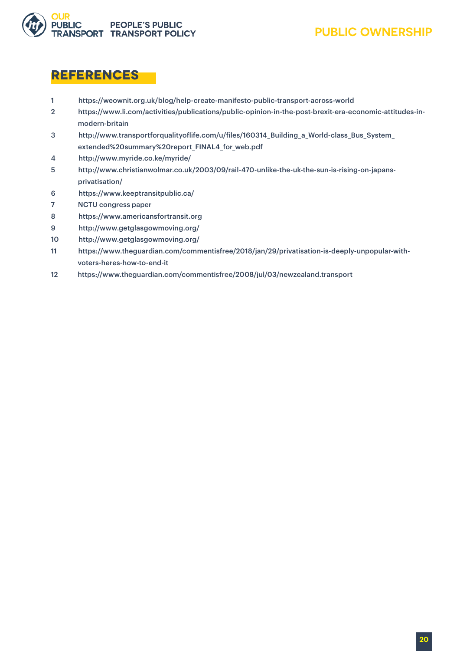<span id="page-22-0"></span>

# **References**

- 1 https://weownit.org.uk/blog/help-create-manifesto-public-transport-across-world
- 2 https://www.li.com/activities/publications/public-opinion-in-the-post-brexit-era-economic-attitudes-in modern-britain
- 3 http://www.transportforqualityoflife.com/u/files/160314\_Building\_a\_World-class\_Bus\_System\_ extended%20summary%20report\_FINAL4\_for\_web.pdf
- 4 http://www.myride.co.ke/myride/
- 5 http://www.christianwolmar.co.uk/2003/09/rail-470-unlike-the-uk-the-sun-is-rising-on-japans privatisation/
- 6 https://www.keeptransitpublic.ca/
- 7 NCTU congress paper
- 8 https://www.americansfortransit.org
- 9 http://www.getglasgowmoving.org/
- 10 http://www.getglasgowmoving.org/
- 11 https://www.theguardian.com/commentisfree/2018/jan/29/privatisation-is-deeply-unpopular-with voters-heres-how-to-end-it
- 12 https://www.theguardian.com/commentisfree/2008/jul/03/newzealand.transport